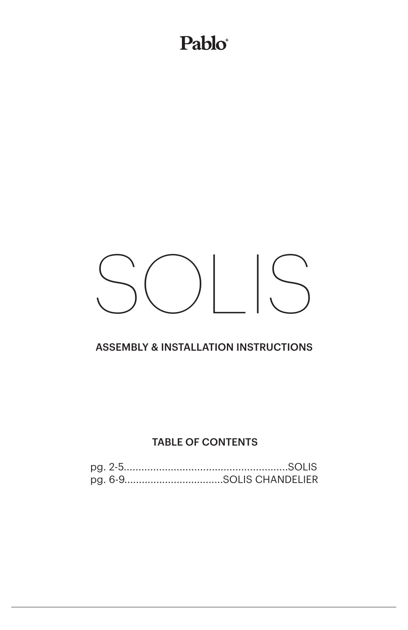#### Pablo®

## SOLIS

#### ASSEMBLY & INSTALLATION INSTRUCTIONS

#### TABLE OF CONTENTS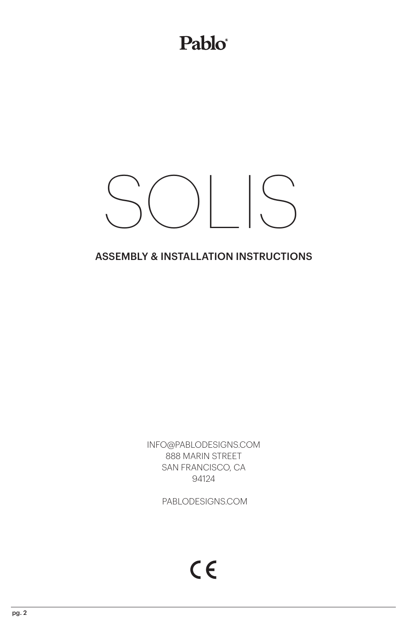#### Pablo®

## $\bigcup$

#### ASSEMBLY & INSTALLATION INSTRUCTIONS

INFO@PABLODESIGNS.COM 888 MARIN STREET SAN FRANCISCO, CA 94124

PABLODESIGNS.COM

 $C \in$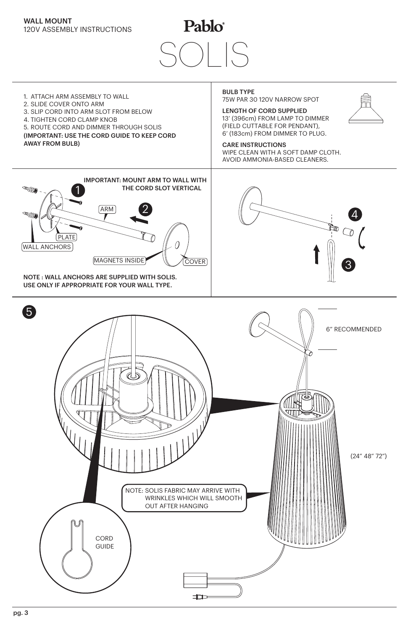

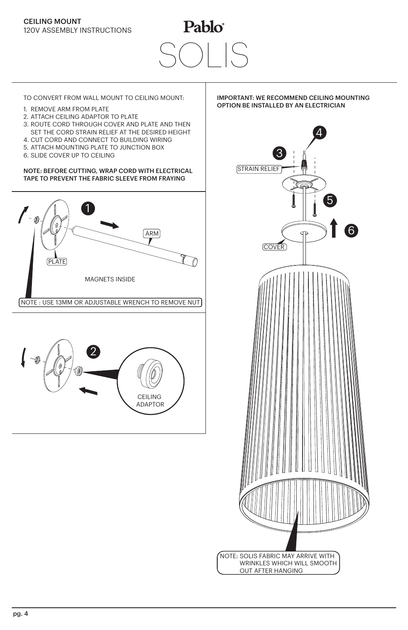### Pablo®  $\vert$

TO CONVERT FROM WALL MOUNT TO CEILING MOUNT: **IMPORTANT: WE RECOMMEND CEILING MOUNTING** 

- 1. REMOVE ARM FROM PLATE
- 2. ATTACH CEILING ADAPTOR TO PLATE
- 3. ROUTE CORD THROUGH COVER AND PLATE AND THEN
- SET THE CORD STRAIN RELIEF AT THE DESIRED HEIGHT
- 4. CUT CORD AND CONNECT TO BUILDING WIRING 5. ATTACH MOUNTING PLATE TO JUNCTION BOX
- 
- 6. SLIDE COVER UP TO CEILING

NOTE: BEFORE CUTTING, WRAP CORD WITH ELECTRICAL TAPE TO PREVENT THE FABRIC SLEEVE FROM FRAYING





#### OPTION BE INSTALLED BY AN ELECTRICIAN

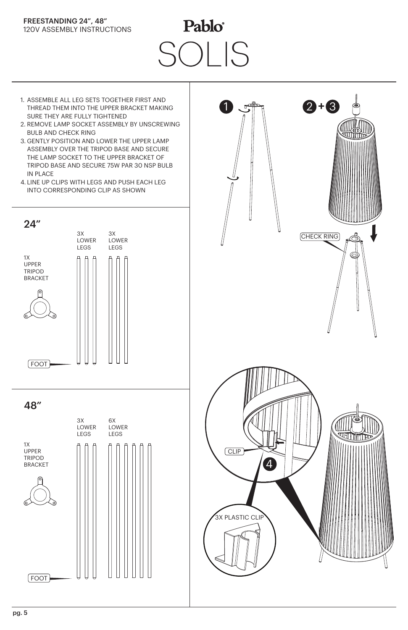#### FREESTANDING 24", 48" 120V ASSEMBLY INSTRUCTIONS

## Pablo® SOLIS SOLIS

- 1. ASSEMBLE ALL LEG SETS TOGETHER FIRST AND THREAD THEM INTO THE UPPER BRACKET MAKING SURE THEY ARE FULLY TIGHTENED
- 2. REMOVE LAMP SOCKET ASSEMBLY BY UNSCREWING BULB AND CHECK RING
- 3. GENTLY POSITION AND LOWER THE UPPER LAMP ASSEMBLY OVER THE TRIPOD BASE AND SECURE THE LAMP SOCKET TO THE UPPER BRACKET OF TRIPOD BASE AND SECURE 75W PAR 30 NSP BULB IN PLACE
- 4. LINE UP CLIPS WITH LEGS AND PUSH EACH LEG INTO CORRESPONDING CLIP AS SHOWN



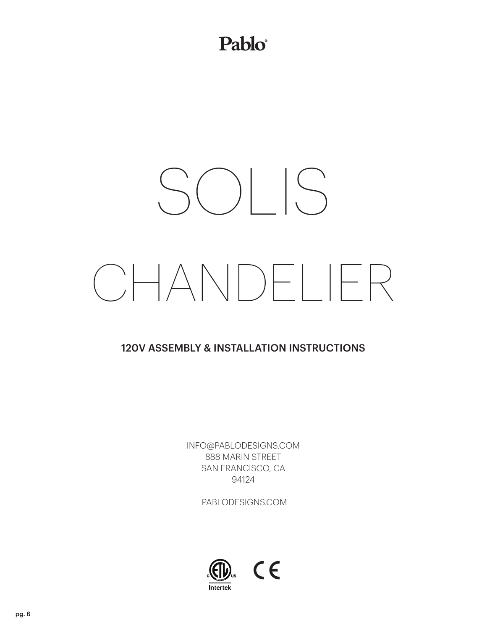### Pablo®

# SOLIS CHANDELIER

#### 120V ASSEMBLY & INSTALLATION INSTRUCTIONS

INFO@PABLODESIGNS.COM 888 MARIN STREET SAN FRANCISCO, CA 94124

PABLODESIGNS.COM

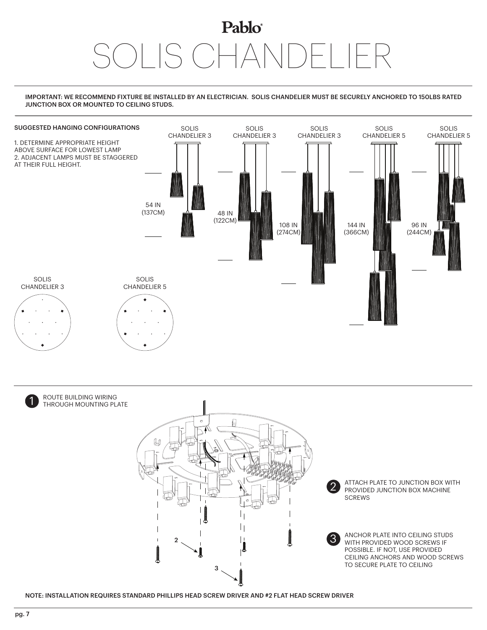## Pablo<sup>®</sup> SOLIS CHANDELIER

#### IMPORTANT: WE RECOMMEND FIXTURE BE INSTALLED BY AN ELECTRICIAN. SOLIS CHANDELIER MUST BE SECURELY ANCHORED TO 150LBS RATED JUNCTION BOX OR MOUNTED TO CEILING STUDS.





ROUTE BUILDING WIRING<br>THROUGH MOUNTING PLATE



ATTACH PLATE TO JUNCTION BOX WITH PROVIDED JUNCTION BOX MACHINE

ANCHOR PLATE INTO CEILING STUDS WITH PROVIDED WOOD SCREWS IF POSSIBLE. IF NOT, USE PROVIDED CEILING ANCHORS AND WOOD SCREWS TO SECURE PLATE TO CEILING

NOTE: INSTALLATION REQUIRES STANDARD PHILLIPS HEAD SCREW DRIVER AND #2 FLAT HEAD SCREW DRIVER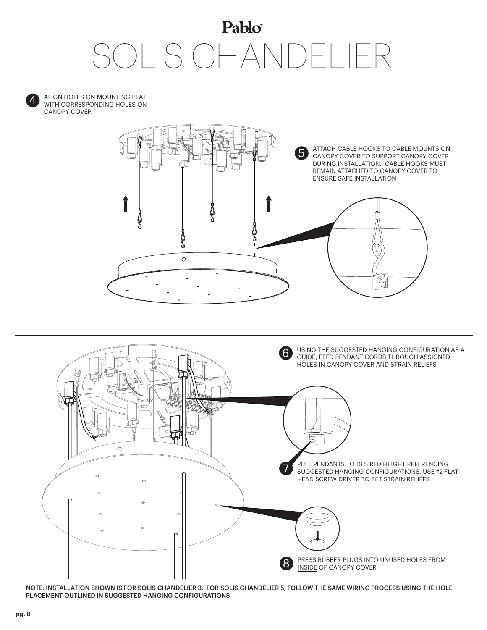## Pablo® **ILIS CHANDE**



ALIGN HOLES ON MOUNTING PLATE WITH CORRESPONDING HOLES ON CANOPY COVER





NOTE: INSTALLATION SHOWN IS FOR SOLIS CHANDELIER 3. FOR SOLIS CHANDELIER 5, FOLLOW THE SAME WIRING PROCESS USING THE HOLE PLACEMENT OUTLINED IN SUGGESTED HANGING CONFIGURATIONS